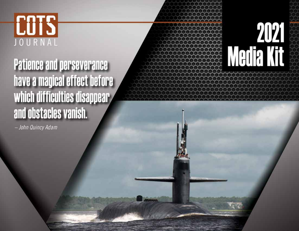## **COTS** JOURNAL

## **Patience and perseverance** have a magical effect before which difficulties disappear and obstacles vanish.

- John Quincy Adam

# **Media Kit**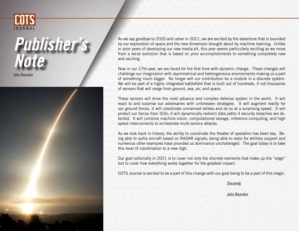



As we say goodbye to 2020 and usher in 2021, we are excited by the adventure that is bounded by our exploration of space and the new dimension brought about by machine learning. Unlike in prior years of developing our new media kit, this year seems particularly exciting as we move from a serial evolution that is based on prior accomplishments to something completely new and exciting.

Now in our 27th-year, we are faced for the first time with dynamic change. These changes will challenge our imagination with asymmetrical and heterogeneous environments making us a part of something much bigger. No longer will our contribution be a module in a discrete system. We will be part of a highly integrated battlefield that is built out of hundreds, if not thousands of sensors that will range from ground, sea, air, and space.

These sensors will drive the most advance and complex defense system in the world. It will react to and surprise our adversaries with unforeseen strategies. It will augment reality for our ground forces, it will coordinate unmanned strikes and do so at a surprising speed. It will protect our forces from IEDs; it will dynamically redirect data paths if security breaches are detected. It will combine machine vision, computational storage, inference computing, and high speed interconnects to orchestrate multi-service attacks.

As we look back in history, the ability to coordinate the theater of operation has been key. Being able to sortie aircraft based on RADAR signals; being able to radio for artillery support and numerous other examples have provided us dominance unchallenged. The goal today is to take this level of coordination to a new high.

Our goal editorially in 2021 is to cover not only the discrete elements that make up the "edge" but to cover how everything works together for the greatest impact.

COTS Journal is excited to be a part of this change with our goal being to be a part of this magic.

 *Sincerely,*

*John Reardon*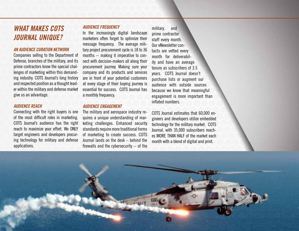#### *WHAT MAKES COTS JOURNAL UNIQUE?*

#### *AN AUDIENCE CURATION NETWORK*

Companies selling to the Department of Defense, branches of the military, and its prime contractors know the special challenges of marketing within this demanding industry. COTS Journal's long history and respected position as a thought leader within the military and defense market give us an advantage.

#### *AUDIENCE REACH*

Connecting with the right buyers is one of the most difficult roles in marketing. COTS Journal's audience has the right reach to maximize your effort. We ONLY target engineers and developers procuring technology for military and defense applications.

#### *AUDIENCE FREQUENCY*

In the increasingly digital landscape marketers often forget to optimize their message frequency. The average military project procurement cycle is 18 to 36 months -- making it imperative to connect with decision-makers all along their procurement journey. Making sure your company and its products and services are in front of your potential customers at every stage of their buying journey is essential for success. COTS Journal has a monthly frequency.

#### *AUDIENCE ENGAGEMENT*

The military and aerospace industry requires a unique understanding of marketing challenges. Enhanced security standards require more traditional forms of marketing to create success. COTS Journal lands on the desk – behind the firewalls and the cybersecurity -- of the

military, and prime contractor staff every month. Our eNewsletter contacts are vetted every month for deliverability and have an average tenure as subscribers of 3.5 years. COTS Journal doesn't purchase lists or augment our audience with outside sources because we know that meaningful engagement is more important than inflated numbers.

COTS Journal estimates that 60,000 engineers and developers utilize embedded technology for the military market. COTS Journal, with 35,000 subscribers reaches MORE THAN HALF of the market each month with a blend of digital and print.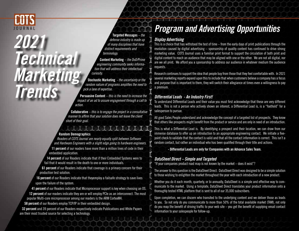

## *2021 Technical Marketing Trends <i>curiosity.*

 Targeted Messages *– the defense industry is made up of many disciplines that have distinct requirements and terminology.*

 Content Marketing *– the DoD/Prime engineering community seeks informa tion that will address their intellectual* 

 Stochastic Marketing *- the uncertainty or the random nature of programs amplifies the need to pick a lane of expertise.* 

 Persuasive Content *– this is the need to increase the impact of an ad to assure engagement through a call to action.* 

 Collaborative *– this is to engage the project in a consultative manner to affirm that your solution does not leave the client short of their goal.*

#### 明白 经小心 下す

#### Random Demographics

 *Readers of COTS Journal are nearly equally split between Software and Hardware Engineers with a slight edge going to hardware engineers.*  11 percent of our readers have more than a million lines of code in their embedded application.

14 percent of our Readers indicate that if their Embedded Systems were to fail that it would result in the death to one or more individuals.

61 percent of our Readers indicate that coverage is a primary concern for their production test solution.

16 percent of our Readers indicate that theyemploy a failsafe strategy to save lives upon the failure of the system.

41 percent of our Readers indicate that Microprocessor support is key when choosing an OS. 12 percent of our readers indicate they are or will employ PCIe as an interconnect. The most popular Multi-core microprocessor among our readers is the ARM CortexM4.

58 percent of our Readers employ TCP/IP in their embedded design.

32 percent and 39 percent of our Readers respectively indicate Publications and White Papers are their most trusted source for selecting a technology.

### *Program and Advertising Opportunities*

#### *Display Advertising*

This is a choice that has withstood the test of time – from the early days of print publications through the revolution caused by digital advertising – sponsorship of quality content has continued to drive strong marketing value. COTS Journal uses a familiar print format to support the circulation of both print and digital content to reach an audience that may be aligned with one or the other. We are not all digital, nor are we all print. We afford you a sponsorship to address our audience in whatever medium the audience requests.

Research continues to support the idea that people buy from those that they feel comfortable with. In 2021 several marketing reports expand upon this to include that when customers believe a company has a focus and purpose that is important to them, they will switch their allegiance at times even a willingness to pay a premium.

#### *Differential Leads - An Industry First!*

To understand Differential Leads and their value you must first acknowledge that these are very different leads. This is not a person who actively shown an interest, a Differential Lead is, is a "foothold" for a salesperson to pursue.

All good Sales People understand and acknowledge the concept of a targeted list of prospects. They know that others like prospects might benefit from the product or service and are only in need of an introduction.

This is what a Differential Lead is. By identifying a prospect and their location, we can draw from our immense database to offer up an introduction to an appropriate engineering contact. We initiate a fivepoint check to validate that the contact is valid and that all the contact information is correct. This isn't a random contact, but rather an individual who has been qualified through their title and actions.

#### - Differential Leads are only for Companies with an Advance Sales Team.

#### *DataSheet Direct – Simple and Targeted*

"If your companies product road map is not known by the market – does it exist"?

The answer to this question is the DataSheet Direct. DataSheet Direct was designed to be a simple solution to those wishing to enlighten the market throughout the year with each introduction of a new product.

Whether you do it each month, quarterly, or bi-annually, DataSheet is a simple and effective way to communicate to the market. Using a template, DataSheet Direct translates your product information onto a thoroughly tested HTML platform that is sent to all of our 35,000 subscribers.

Upon completion, we can discern who transited to the underlying content and we deliver those as leads to you. So not only do you communicate to more than 50% of the total available market (TAM), not only do you reap the benefit of driving traffic to your web site – you get the benefit of supplying email contact information to your salespeople for follow-up.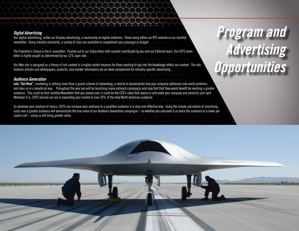#### *Digital Advertising*

Our digital advertising, unlike our Display advertising, is exclusively on digital mediums. These being either our RTC website or our monthly newsletter. Using industry standards, a variety of sizes are available to compliment any campaign or budget.

The Publisher's Choice is the E-newsletter. Pushed out to our Subscribers with content contributed by you and our Editorial team, the COTS newsletter is highly sought as determined by our 12% open rate.

Our Web site is designed as a library of rich content is a highly visited resource for those wanting to tap into the knowledge within our content. The site features articles and whitepapers, products, and market information are an ideal complement for industry-specific advertising.

#### *Audience Generation*

Lets "Get Real", marketing is nothing more than a grand scheme of networking; a vehicle to demonstrate how your company addresses real-world problems and does so in a beneficial way. Throughout the year you will be launching many outreach campaigns and may find that they would benefit by reaching a greater audience. This could be that monthly Newsletter that you slaved over; it could be the CEO's video that seems to articulate your company and products just right. Whatever it is, COTS Journal can aid in expanding your market to over 50% of the total North American audience.

So whatever your medium of choice, COTS can increase your audience to a qualified audience in a very cost-effective way. Using the simple calculation of amortizing costs over a greater audience will demonstrate the true value of our Audience Generation campaigns – so whether you calculate it as twice the audience or a lower per capita  $cost - using$  us will bring greater value.

## *Program and Advertising Opportunities*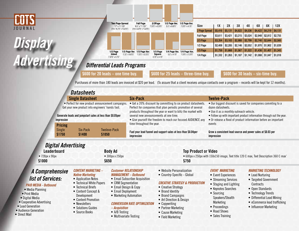

## *Display Advertising*

| <b>Two Page Spread</b><br>17" x 11.125"<br>(Trim: 16.75" x 10.875") |                | <b>Full Page</b><br>8.5" x 11.125"<br>(Trim: 8.375" x 10.875") | 2/3Page<br>7.375" x 6.375" | 1/2 Page Ver<br>3.5" x 9.875" | 1/2 Page Hor<br>7.375" x 4.75"               |
|---------------------------------------------------------------------|----------------|----------------------------------------------------------------|----------------------------|-------------------------------|----------------------------------------------|
|                                                                     |                |                                                                |                            |                               |                                              |
|                                                                     |                |                                                                |                            |                               |                                              |
| 1/2 Page<br>Island                                                  | 2.25" x 9.875" | 1/3 Page Ver. 1/3 Page Hor.<br>7.375" x 3.375"                 | 1/3 Page<br>Square         | $3.5" \times 4.75"$           | 1/4 Page Ver 1/4 Page Hor<br>7.375" x 2.375" |
| 7.375" x 4.75"                                                      |                |                                                                | 4.75" x 4.75"              |                               |                                              |

| Size             | 1Х      | 2X      | 3Х      | 4Х      | 6X      | 8Χ      | 12X     |
|------------------|---------|---------|---------|---------|---------|---------|---------|
| 2 Page Spread    | \$5,416 | \$5,131 | \$4,822 | \$4,536 | \$4,422 | \$4.219 | \$4,131 |
| <b>Full Page</b> | \$3,611 | \$3.421 | \$3,215 | \$3,024 | \$2,948 | \$2,812 | \$2,755 |
| 2/3 Page         | \$3,354 | \$3.183 | \$2,988 | \$2,799 | \$2,740 | \$2,644 | \$2,560 |
| 1/2 Page         | \$2,409 | \$2,285 | \$2,146 | \$2,052 | \$1,970 | \$1,902 | \$1,839 |
| 1/3 Page         | \$1,759 | \$1,668 | \$1,567 | \$1,522 | \$1,436 | \$1,407 | \$1,343 |
| 1/4 Page         | \$1,332 | \$1,263 | \$1,187 | \$1,142 | \$1,088 | \$1,047 | \$1,018 |

#### *Differential Leads Programs*

\$600 for 20 leads – one time buy.  $\blacksquare$ \$600 for 25 leads – three-time buy.  $\blacksquare$ \$600 for 30 leads – six-time buy.

Purchases of more than 180 leads are invoiced at \$20 per lead. (To assure that a client receives unique contacts over a program – records will be kept for 12 months).

|                                                                                                                                                                                                                                  | <b>Datasheets</b>                                                                                                                                                                                                                                    |                                                                                                                                                                                                |                                                                                                                                                                                                                                                                                                           |                                                                                                                                                                                                                                                                                     |                                                                                                                                                                                                                                                                        |                                                                                                                                                                                                                                 |  |
|----------------------------------------------------------------------------------------------------------------------------------------------------------------------------------------------------------------------------------|------------------------------------------------------------------------------------------------------------------------------------------------------------------------------------------------------------------------------------------------------|------------------------------------------------------------------------------------------------------------------------------------------------------------------------------------------------|-----------------------------------------------------------------------------------------------------------------------------------------------------------------------------------------------------------------------------------------------------------------------------------------------------------|-------------------------------------------------------------------------------------------------------------------------------------------------------------------------------------------------------------------------------------------------------------------------------------|------------------------------------------------------------------------------------------------------------------------------------------------------------------------------------------------------------------------------------------------------------------------|---------------------------------------------------------------------------------------------------------------------------------------------------------------------------------------------------------------------------------|--|
|                                                                                                                                                                                                                                  | <b>Single Datasheet</b>                                                                                                                                                                                                                              |                                                                                                                                                                                                | <b>Six-Pack</b>                                                                                                                                                                                                                                                                                           |                                                                                                                                                                                                                                                                                     | <b>Twelve-Pack</b>                                                                                                                                                                                                                                                     |                                                                                                                                                                                                                                 |  |
| • Perfect for new product announcement campaigns.<br>Get your new product into engineers' hands fast.<br>Generate leads and jumpstart sales at less than \$0.05per<br>impression                                                 |                                                                                                                                                                                                                                                      |                                                                                                                                                                                                | • Get a 20% discount by committing to six product datasheets<br>Perfect for companies that plan periodic promotion of several<br>products throughout the year or want to blitz the market with<br>several new announcements at one time.<br>• Give yourself the freedom to reach our focused AUDIENCE any |                                                                                                                                                                                                                                                                                     | . Our biggest discount is saved for companies commting to a<br>dozen datasheets.<br>. Use it as a monthly outreach vehicle.<br>. Follow up with important product information through out the year.<br>• Or release a flood of product information before an important |                                                                                                                                                                                                                                 |  |
| <b>Pricing</b><br>Single<br>\$1750                                                                                                                                                                                               | <b>Tweleve-Pack</b><br>Six-Pack<br>\$1400<br>\$1050                                                                                                                                                                                                  |                                                                                                                                                                                                | time throughout the year.<br>Fuel your lead funnel and support sales at less than \$0.04per<br>impression                                                                                                                                                                                                 |                                                                                                                                                                                                                                                                                     | events<br>Grow a consistent lead source and power sales at \$0.03 per<br>impression                                                                                                                                                                                    |                                                                                                                                                                                                                                 |  |
| <b>Digital Advertising</b><br><b>Leaderboard</b><br>• 728px x 90px<br>\$1000                                                                                                                                                     | <b>Body Ad</b><br>• 300рх х 250рх<br>\$650                                                                                                                                                                                                           |                                                                                                                                                                                                | <b>Top Product or Video</b><br>• 600px x 250px with 150x150 image, Text title 120 C max, Text Description 360 C max'<br>\$750                                                                                                                                                                             |                                                                                                                                                                                                                                                                                     |                                                                                                                                                                                                                                                                        |                                                                                                                                                                                                                                 |  |
| A Comprehensive<br><b>list of Services:</b><br><b>PAID MEDIA - Outbound</b><br>• Media Planning<br>• Print Media<br>• Digital Media<br>• Cooperative Advertising<br>Lead Generation<br><b>Audience Generation</b><br>Direct Mail | <b>CONTENT MARKETING -</b><br><b>Native Marketing</b><br>• Application Notes<br>• Technical White Papers<br>• Technical Briefs<br>• Content Concept &<br>Development<br>• Content Promotion<br>• Newsletters<br>• Solutions Guides<br>• Source Books | <b>Customer RELATIONSHIP</b><br>• CRM Segmentation<br>• Email Design & Copy<br>• Email Deployment<br>• Marketing Automation<br><i>- Acquisition</i><br>• A/B Testing<br>• Multivariate Testing | <b>MANAGEMENT - Outbound</b><br>• Email Subscriber Acquisition<br><b>CONVERSION RATE OPTIMIZATION</b>                                                                                                                                                                                                     | • Website Personalization<br>• Country-Specific - Global<br><b>CREATIVE STRATEGY &amp; PRODUCTION</b><br>• Creative Strategy<br>• Brand Identity<br>• Brand Campaigns<br>• Art Direction & Design<br>• Copywriting<br>• Partner Marketing<br>• Cause Marketing<br>• Field Marketing | <b>EVENT MARKETING</b><br>• Event Experiences<br>• Streaming Services<br>• Staging and Lighting<br>• Keynotes Searches<br>$\bullet$ Sourcing<br>Speakers/Stealth<br>Marketing<br>• Proceedings<br>• Road Shows<br>• Sales Training                                     | <i><b>MARKETING TECHNOLOGY</b></i><br>• Lead Nurturing<br>• Targeted Government<br>Contracts<br>• Open Standards<br>• Technology Trends<br>• Differential Lead Mining<br>• eCommerce lead trafficking<br>• Influencer Marketing |  |

#### • Audience Generation

• Lead Generation

• Direct Mail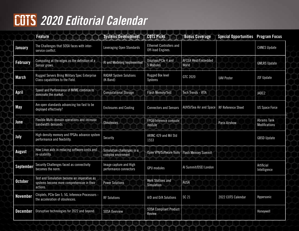## *2020 Editorial Calendar*

|                  | <b>Feature</b>                                                                                        | <b>Systems Development</b>                       | <b>COTS Picks</b>                                    | <b>Bonus Coverage</b>        | <b>Special Opportunities Program Focus</b> |                                            |
|------------------|-------------------------------------------------------------------------------------------------------|--------------------------------------------------|------------------------------------------------------|------------------------------|--------------------------------------------|--------------------------------------------|
| January          | The Challenges that SOSA faces with inter-<br>service conflict.                                       | Leveraging Open Standards                        | <b>Ethernet Controllers and</b><br>Off-load Engines. |                              |                                            | <b>CANES Update</b>                        |
| <b>February</b>  | Computing at the edges as the definition of a<br>Sensor grows.                                        | Al and Modeling Implemented                      | Displays/PCle 4 and<br>5 Modules                     | AFCEA West/Embedded<br>World |                                            | <b>GMLRS Update</b>                        |
| March            | Rugged Servers Bring Military Spec Enterprise<br>Class capabilities to the Field.                     | <b>RADAR System Solutions</b><br>(K-Band)        | Rugged Box level<br>Systems                          | GTC 2020                     | <b>UAV Poster</b>                          | JSF Update                                 |
| <b>April</b>     | Speed and Performance of NVME continue to<br>dominate the market.                                     | <b>Computational Storage</b>                     | <b>Flash Memory/Test</b>                             | <b>Tech Trends - VITA</b>    |                                            | JADC2                                      |
| <b>May</b>       | Are open standards advancing too fast to be<br>deployed effectively?                                  | <b>Enclosures and Cooling</b>                    | <b>Connectors and Sensors</b>                        | AUVSI/Sea Air and Space      | <b>RF Reference Sheet</b>                  | <b>US Space Force</b>                      |
| June             | Flexible Multi-domain operations and increase<br>bandwidth demands                                    | <b>Obsolesces</b>                                | FPGA/Inference compute<br>module                     |                              | <b>Paris Airshow</b>                       | <b>Abrams Tank</b><br><b>Modifications</b> |
| July             | High density memory and FPGAs advance system<br>performance and flexibility.                          | Security                                         | ARINC 429 and Mil Std<br>1553                        |                              |                                            | <b>GBSD Update</b>                         |
| <b>August</b>    | How Linux aids in reducing software costs and<br>re-usability.                                        | Simulation challenges in a<br>complex envirnment | Open VPX/Software Tools                              | <b>Flash Memory Summit</b>   |                                            |                                            |
| <b>September</b> | Security Challenges faced as connectivity<br>becomes the norm.                                        | Image capture and High<br>performance connectors | <b>GPU</b> modules                                   | Al Summit/DSEI London        |                                            | Artificial<br>Intelligence                 |
| <b>October</b>   | Test and Simulation become an imperative as<br>systems become more comprehensive in their<br>actions. | <b>Power Solutions</b>                           | <b>Work Stations and</b><br>Simulation               | <b>AUSA</b>                  |                                            |                                            |
| <b>November</b>  | Chiplets, PCIe Gen 5, 5G, Inference Processors -<br>the acceleration of obsolesces.                   | <b>RF Solutions</b>                              | A/D and D/A Solutions                                | SC 21                        | 2022 COTS Calendar                         | Hypersonic                                 |
| <b>December</b>  | Disruptive technologies for 2022 and beyond.                                                          | <b>SOSA Overview</b>                             | <b>SOSA Compliant Product</b><br><b>Review</b>       |                              |                                            | Honeywell                                  |